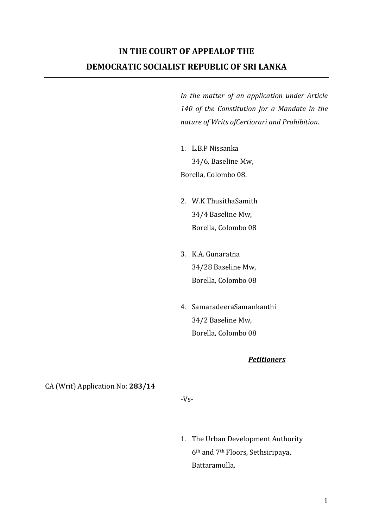# **IN THE COURT OF APPEALOF THE DEMOCRATIC SOCIALIST REPUBLIC OF SRI LANKA**

*In the matter of an application under Article 140 of the Constitution for a Mandate in the nature of Writs ofCertiorari and Prohibition.*

- 1. L.B.P Nissanka 34/6, Baseline Mw, Borella, Colombo 08.
- 2. W.K ThusithaSamith 34/4 Baseline Mw, Borella, Colombo 08
- 3. K.A. Gunaratna 34/28 Baseline Mw, Borella, Colombo 08
- 4. SamaradeeraSamankanthi 34/2 Baseline Mw, Borella, Colombo 08

#### *Petitioners*

CA (Writ) Application No: **283/14**

-Vs-

1. The Urban Development Authority 6th and 7th Floors, Sethsiripaya, Battaramulla.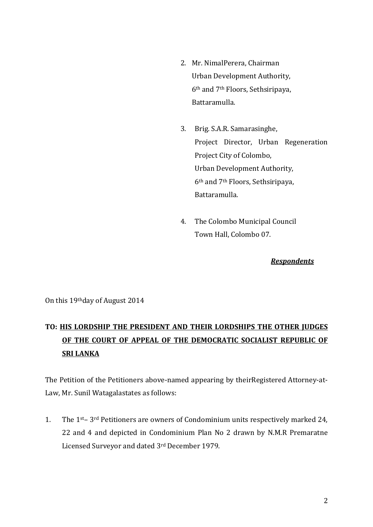- 2. Mr. NimalPerera, Chairman Urban Development Authority, 6th and 7th Floors, Sethsiripaya, Battaramulla.
- 3. Brig. S.A.R. Samarasinghe, Project Director, Urban Regeneration Project City of Colombo, Urban Development Authority, 6th and 7th Floors, Sethsiripaya, Battaramulla.
- 4. The Colombo Municipal Council Town Hall, Colombo 07.

*Respondents*

On this 19thday of August 2014

# **TO: HIS LORDSHIP THE PRESIDENT AND THEIR LORDSHIPS THE OTHER JUDGES OF THE COURT OF APPEAL OF THE DEMOCRATIC SOCIALIST REPUBLIC OF SRI LANKA**

The Petition of the Petitioners above-named appearing by theirRegistered Attorney-at-Law, Mr. Sunil Watagalastates as follows:

1. The 1st– 3rd Petitioners are owners of Condominium units respectively marked 24, 22 and 4 and depicted in Condominium Plan No 2 drawn by N.M.R Premaratne Licensed Surveyor and dated 3rd December 1979.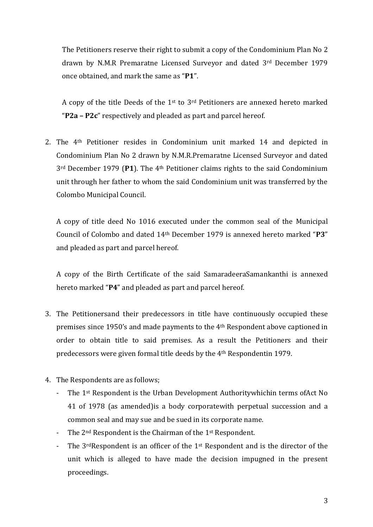The Petitioners reserve their right to submit a copy of the Condominium Plan No 2 drawn by N.M.R Premaratne Licensed Surveyor and dated 3rd December 1979 once obtained, and mark the same as "**P1**".

A copy of the title Deeds of the  $1<sup>st</sup>$  to  $3<sup>rd</sup>$  Petitioners are annexed hereto marked "**P2a – P2c**" respectively and pleaded as part and parcel hereof.

2. The 4th Petitioner resides in Condominium unit marked 14 and depicted in Condominium Plan No 2 drawn by N.M.R.Premaratne Licensed Surveyor and dated 3rd December 1979 (**P1**). The 4th Petitioner claims rights to the said Condominium unit through her father to whom the said Condominium unit was transferred by the Colombo Municipal Council.

A copy of title deed No 1016 executed under the common seal of the Municipal Council of Colombo and dated 14th December 1979 is annexed hereto marked "**P3**" and pleaded as part and parcel hereof.

A copy of the Birth Certificate of the said SamaradeeraSamankanthi is annexed hereto marked "**P4**" and pleaded as part and parcel hereof.

- 3. The Petitionersand their predecessors in title have continuously occupied these premises since 1950's and made payments to the 4th Respondent above captioned in order to obtain title to said premises. As a result the Petitioners and their predecessors were given formal title deeds by the 4th Respondentin 1979.
- 4. The Respondents are as follows;
	- The 1<sup>st</sup> Respondent is the Urban Development Authoritywhichin terms of Act No 41 of 1978 (as amended)is a body corporatewith perpetual succession and a common seal and may sue and be sued in its corporate name.
	- The 2<sup>nd</sup> Respondent is the Chairman of the 1<sup>st</sup> Respondent.
	- The  $3^{rd}$ Respondent is an officer of the  $1^{st}$  Respondent and is the director of the unit which is alleged to have made the decision impugned in the present proceedings.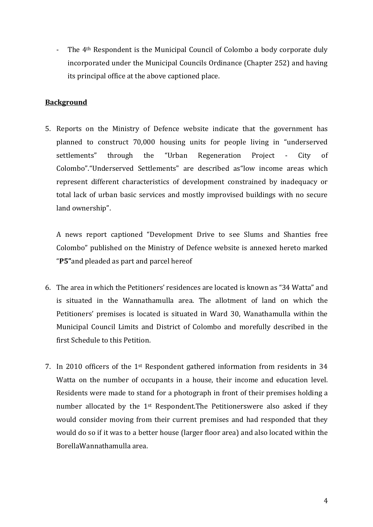- The 4<sup>th</sup> Respondent is the Municipal Council of Colombo a body corporate duly incorporated under the Municipal Councils Ordinance (Chapter 252) and having its principal office at the above captioned place.

### **Background**

5. Reports on the Ministry of Defence website indicate that the government has planned to construct 70,000 housing units for people living in "underserved settlements" through the "Urban Regeneration Project - City of Colombo"."Underserved Settlements" are described as"low income areas which represent different characteristics of development constrained by inadequacy or total lack of urban basic services and mostly improvised buildings with no secure land ownership".

A news report captioned "Development Drive to see Slums and Shanties free Colombo" published on the Ministry of Defence website is annexed hereto marked "**P5"**and pleaded as part and parcel hereof

- 6. The area in which the Petitioners' residences are located is known as "34 Watta" and is situated in the Wannathamulla area. The allotment of land on which the Petitioners' premises is located is situated in Ward 30, Wanathamulla within the Municipal Council Limits and District of Colombo and morefully described in the first Schedule to this Petition.
- 7. In 2010 officers of the 1st Respondent gathered information from residents in 34 Watta on the number of occupants in a house, their income and education level. Residents were made to stand for a photograph in front of their premises holding a number allocated by the 1<sup>st</sup> Respondent. The Petitionerswere also asked if they would consider moving from their current premises and had responded that they would do so if it was to a better house (larger floor area) and also located within the BorellaWannathamulla area.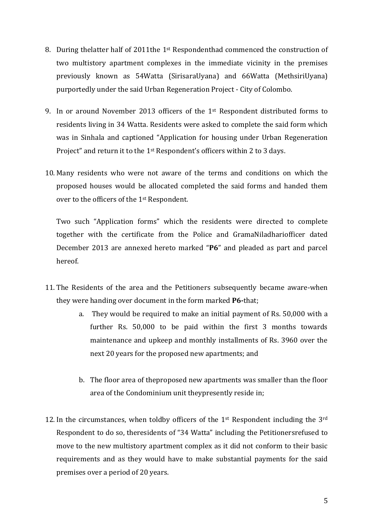- 8. During thelatter half of 2011the 1<sup>st</sup> Respondenthad commenced the construction of two multistory apartment complexes in the immediate vicinity in the premises previously known as 54Watta (SirisaraUyana) and 66Watta (MethsiriUyana) purportedly under the said Urban Regeneration Project - City of Colombo.
- 9. In or around November 2013 officers of the 1st Respondent distributed forms to residents living in 34 Watta. Residents were asked to complete the said form which was in Sinhala and captioned "Application for housing under Urban Regeneration Project" and return it to the 1<sup>st</sup> Respondent's officers within 2 to 3 days.
- 10. Many residents who were not aware of the terms and conditions on which the proposed houses would be allocated completed the said forms and handed them over to the officers of the 1st Respondent.

Two such "Application forms" which the residents were directed to complete together with the certificate from the Police and GramaNiladhariofficer dated December 2013 are annexed hereto marked "**P6**" and pleaded as part and parcel hereof.

- 11. The Residents of the area and the Petitioners subsequently became aware-when they were handing over document in the form marked **P6-**that;
	- a. They would be required to make an initial payment of Rs. 50,000 with a further Rs. 50,000 to be paid within the first 3 months towards maintenance and upkeep and monthly installments of Rs. 3960 over the next 20 years for the proposed new apartments; and
	- b. The floor area of theproposed new apartments was smaller than the floor area of the Condominium unit theypresently reside in;
- 12. In the circumstances, when toldby officers of the  $1<sup>st</sup>$  Respondent including the  $3<sup>rd</sup>$ Respondent to do so, theresidents of "34 Watta" including the Petitionersrefused to move to the new multistory apartment complex as it did not conform to their basic requirements and as they would have to make substantial payments for the said premises over a period of 20 years.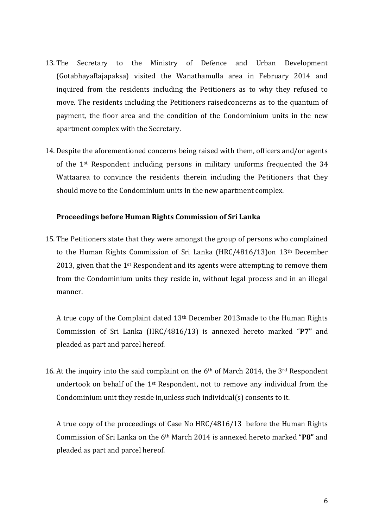- 13. The Secretary to the Ministry of Defence and Urban Development (GotabhayaRajapaksa) visited the Wanathamulla area in February 2014 and inquired from the residents including the Petitioners as to why they refused to move. The residents including the Petitioners raisedconcerns as to the quantum of payment, the floor area and the condition of the Condominium units in the new apartment complex with the Secretary.
- 14. Despite the aforementioned concerns being raised with them, officers and/or agents of the 1st Respondent including persons in military uniforms frequented the 34 Wattaarea to convince the residents therein including the Petitioners that they should move to the Condominium units in the new apartment complex.

#### **Proceedings before Human Rights Commission of Sri Lanka**

15. The Petitioners state that they were amongst the group of persons who complained to the Human Rights Commission of Sri Lanka (HRC/4816/13)on 13th December 2013, given that the 1<sup>st</sup> Respondent and its agents were attempting to remove them from the Condominium units they reside in, without legal process and in an illegal manner.

A true copy of the Complaint dated 13th December 2013made to the Human Rights Commission of Sri Lanka (HRC/4816/13) is annexed hereto marked "**P7"** and pleaded as part and parcel hereof.

16. At the inquiry into the said complaint on the 6th of March 2014, the 3rd Respondent undertook on behalf of the 1st Respondent, not to remove any individual from the Condominium unit they reside in,unless such individual(s) consents to it.

A true copy of the proceedings of Case No HRC/4816/13 before the Human Rights Commission of Sri Lanka on the 6th March 2014 is annexed hereto marked "**P8"** and pleaded as part and parcel hereof.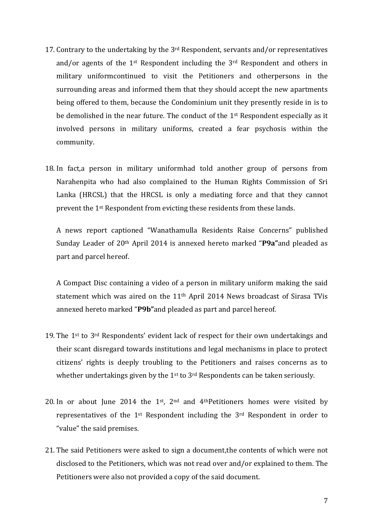- 17. Contrary to the undertaking by the 3<sup>rd</sup> Respondent, servants and/or representatives and/or agents of the 1st Respondent including the 3rd Respondent and others in military uniformcontinued to visit the Petitioners and otherpersons in the surrounding areas and informed them that they should accept the new apartments being offered to them, because the Condominium unit they presently reside in is to be demolished in the near future. The conduct of the 1st Respondent especially as it involved persons in military uniforms, created a fear psychosis within the community.
- 18. In fact,a person in military uniformhad told another group of persons from Narahenpita who had also complained to the Human Rights Commission of Sri Lanka (HRCSL) that the HRCSL is only a mediating force and that they cannot prevent the 1st Respondent from evicting these residents from these lands.

A news report captioned "Wanathamulla Residents Raise Concerns" published Sunday Leader of 20th April 2014 is annexed hereto marked "**P9a"**and pleaded as part and parcel hereof.

A Compact Disc containing a video of a person in military uniform making the said statement which was aired on the 11th April 2014 News broadcast of Sirasa TVis annexed hereto marked "**P9b"**and pleaded as part and parcel hereof.

- 19. The 1<sup>st</sup> to 3<sup>rd</sup> Respondents' evident lack of respect for their own undertakings and their scant disregard towards institutions and legal mechanisms in place to protect citizens' rights is deeply troubling to the Petitioners and raises concerns as to whether undertakings given by the  $1<sup>st</sup>$  to  $3<sup>rd</sup>$  Respondents can be taken seriously.
- 20. In or about June 2014 the 1<sup>st</sup>, 2<sup>nd</sup> and 4<sup>th</sup>Petitioners homes were visited by representatives of the 1st Respondent including the 3rd Respondent in order to "value" the said premises.
- 21. The said Petitioners were asked to sign a document,the contents of which were not disclosed to the Petitioners, which was not read over and/or explained to them. The Petitioners were also not provided a copy of the said document.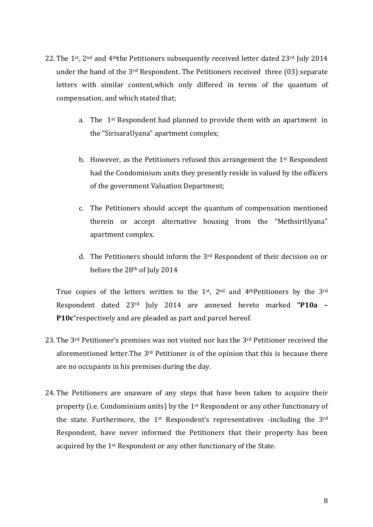- 22. The 1<sup>st</sup>, 2<sup>nd</sup> and 4<sup>th</sup>the Petitioners subsequently received letter dated 23<sup>rd</sup> July 2014 under the hand of the 3<sup>rd</sup> Respondent. The Petitioners received three (03) separate letters with similar content,which only differed in terms of the quantum of compensation, and which stated that;
	- a. The 1st Respondent had planned to provide them with an apartment in the "SirisaraUyana" apartment complex;
	- b. However, as the Petitioners refused this arrangement the  $1<sup>st</sup>$  Respondent had the Condominium units they presently reside in valued by the officers of the government Valuation Department;
	- c. The Petitioners should accept the quantum of compensation mentioned therein or accept alternative housing from the "MethsiriUyana" apartment complex.
	- d. The Petitioners should inform the 3rd Respondent of their decision on or before the 28th of July 2014

True copies of the letters written to the 1st, 2nd and 4thPetitioners by the 3rd Respondent dated 23rd July 2014 are annexed hereto marked **"P10a – P10c**"respectively and are pleaded as part and parcel hereof.

- 23. The 3rd Petitioner's premises was not visited nor has the 3rd Petitioner received the aforementioned letter.The 3rd Petitioner is of the opinion that this is because there are no occupants in his premises during the day.
- 24. The Petitioners are unaware of any steps that have been taken to acquire their property (i.e. Condominium units) by the 1st Respondent or any other functionary of the state. Furthermore, the 1<sup>st</sup> Respondent's representatives -including the 3<sup>rd</sup> Respondent, have never informed the Petitioners that their property has been acquired by the 1st Respondent or any other functionary of the State.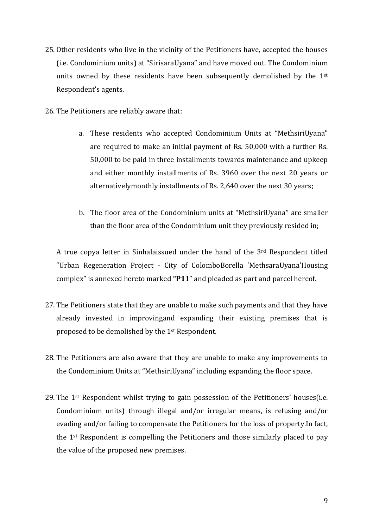- 25. Other residents who live in the vicinity of the Petitioners have, accepted the houses (i.e. Condominium units) at "SirisaraUyana" and have moved out. The Condominium units owned by these residents have been subsequently demolished by the 1st Respondent's agents.
- 26. The Petitioners are reliably aware that:
	- a. These residents who accepted Condominium Units at "MethsiriUyana" are required to make an initial payment of Rs. 50,000 with a further Rs. 50,000 to be paid in three installments towards maintenance and upkeep and either monthly installments of Rs. 3960 over the next 20 years or alternativelymonthly installments of Rs. 2,640 over the next 30 years;
	- b. The floor area of the Condominium units at "MethsiriUyana" are smaller than the floor area of the Condominium unit they previously resided in;

A true copya letter in Sinhalaissued under the hand of the 3rd Respondent titled "Urban Regeneration Project - City of ColomboBorella 'MethsaraUyana'Housing complex" is annexed hereto marked **"P11**" and pleaded as part and parcel hereof.

- 27. The Petitioners state that they are unable to make such payments and that they have already invested in improvingand expanding their existing premises that is proposed to be demolished by the 1st Respondent.
- 28. The Petitioners are also aware that they are unable to make any improvements to the Condominium Units at "MethsiriUyana" including expanding the floor space.
- 29. The 1st Respondent whilst trying to gain possession of the Petitioners' houses(i.e. Condominium units) through illegal and/or irregular means, is refusing and/or evading and/or failing to compensate the Petitioners for the loss of property.In fact, the 1st Respondent is compelling the Petitioners and those similarly placed to pay the value of the proposed new premises.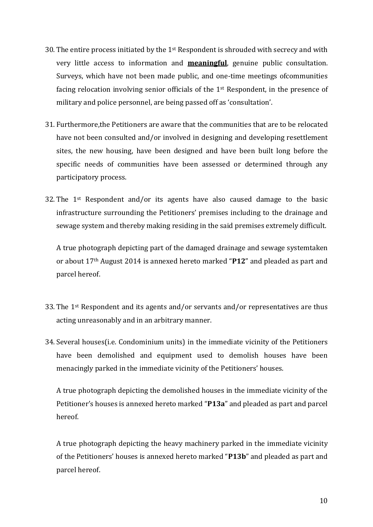- 30. The entire process initiated by the  $1<sup>st</sup>$  Respondent is shrouded with secrecy and with very little access to information and **meaningful**, genuine public consultation. Surveys, which have not been made public, and one-time meetings ofcommunities facing relocation involving senior officials of the  $1<sup>st</sup>$  Respondent, in the presence of military and police personnel, are being passed off as 'consultation'.
- 31. Furthermore,the Petitioners are aware that the communities that are to be relocated have not been consulted and/or involved in designing and developing resettlement sites, the new housing, have been designed and have been built long before the specific needs of communities have been assessed or determined through any participatory process.
- 32. The 1<sup>st</sup> Respondent and/or its agents have also caused damage to the basic infrastructure surrounding the Petitioners' premises including to the drainage and sewage system and thereby making residing in the said premises extremely difficult.

A true photograph depicting part of the damaged drainage and sewage systemtaken or about 17th August 2014 is annexed hereto marked "**P12**" and pleaded as part and parcel hereof.

- 33. The  $1<sup>st</sup>$  Respondent and its agents and/or servants and/or representatives are thus acting unreasonably and in an arbitrary manner.
- 34. Several houses(i.e. Condominium units) in the immediate vicinity of the Petitioners have been demolished and equipment used to demolish houses have been menacingly parked in the immediate vicinity of the Petitioners' houses.

A true photograph depicting the demolished houses in the immediate vicinity of the Petitioner's houses is annexed hereto marked "**P13a**" and pleaded as part and parcel hereof.

A true photograph depicting the heavy machinery parked in the immediate vicinity of the Petitioners' houses is annexed hereto marked "**P13b**" and pleaded as part and parcel hereof.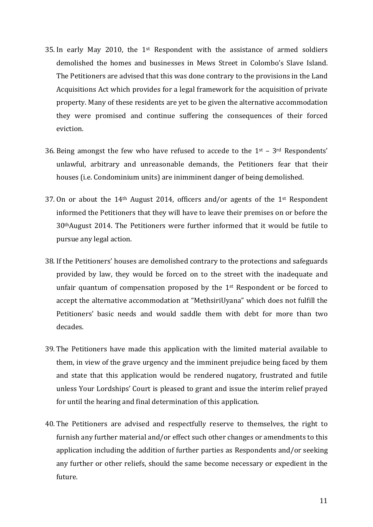- 35. In early May 2010, the  $1<sup>st</sup>$  Respondent with the assistance of armed soldiers demolished the homes and businesses in Mews Street in Colombo's Slave Island. The Petitioners are advised that this was done contrary to the provisions in the Land Acquisitions Act which provides for a legal framework for the acquisition of private property. Many of these residents are yet to be given the alternative accommodation they were promised and continue suffering the consequences of their forced eviction.
- 36. Being amongst the few who have refused to accede to the  $1<sup>st</sup> 3<sup>rd</sup>$  Respondents' unlawful, arbitrary and unreasonable demands, the Petitioners fear that their houses (i.e. Condominium units) are inimminent danger of being demolished.
- 37. On or about the  $14<sup>th</sup>$  August 2014, officers and/or agents of the  $1<sup>st</sup>$  Respondent informed the Petitioners that they will have to leave their premises on or before the 30thAugust 2014. The Petitioners were further informed that it would be futile to pursue any legal action.
- 38. If the Petitioners' houses are demolished contrary to the protections and safeguards provided by law, they would be forced on to the street with the inadequate and unfair quantum of compensation proposed by the 1st Respondent or be forced to accept the alternative accommodation at "MethsiriUyana" which does not fulfill the Petitioners' basic needs and would saddle them with debt for more than two decades.
- 39. The Petitioners have made this application with the limited material available to them, in view of the grave urgency and the imminent prejudice being faced by them and state that this application would be rendered nugatory, frustrated and futile unless Your Lordships' Court is pleased to grant and issue the interim relief prayed for until the hearing and final determination of this application.
- 40. The Petitioners are advised and respectfully reserve to themselves, the right to furnish any further material and/or effect such other changes or amendments to this application including the addition of further parties as Respondents and/or seeking any further or other reliefs, should the same become necessary or expedient in the future.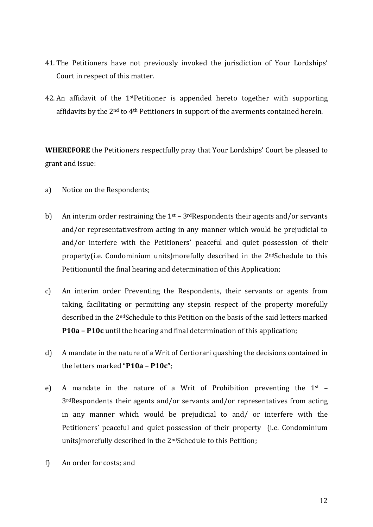- 41. The Petitioners have not previously invoked the jurisdiction of Your Lordships' Court in respect of this matter.
- 42. An affidavit of the 1<sup>st</sup>Petitioner is appended hereto together with supporting affidavits by the 2nd to 4th Petitioners in support of the averments contained herein.

**WHEREFORE** the Petitioners respectfully pray that Your Lordships' Court be pleased to grant and issue:

- a) Notice on the Respondents;
- b) An interim order restraining the  $1<sup>st</sup> 3<sup>rd</sup>$ Respondents their agents and/or servants and/or representativesfrom acting in any manner which would be prejudicial to and/or interfere with the Petitioners' peaceful and quiet possession of their property(i.e. Condominium units)morefully described in the 2<sup>nd</sup>Schedule to this Petitionuntil the final hearing and determination of this Application;
- c) An interim order Preventing the Respondents, their servants or agents from taking, facilitating or permitting any stepsin respect of the property morefully described in the 2ndSchedule to this Petition on the basis of the said letters marked **P10a – P10c** until the hearing and final determination of this application;
- d) A mandate in the nature of a Writ of Certiorari quashing the decisions contained in the letters marked "**P10a – P10c"**;
- e) A mandate in the nature of a Writ of Prohibition preventing the  $1<sup>st</sup>$  3rdRespondents their agents and/or servants and/or representatives from acting in any manner which would be prejudicial to and/ or interfere with the Petitioners' peaceful and quiet possession of their property (i.e. Condominium units)morefully described in the 2ndSchedule to this Petition;
- f) An order for costs; and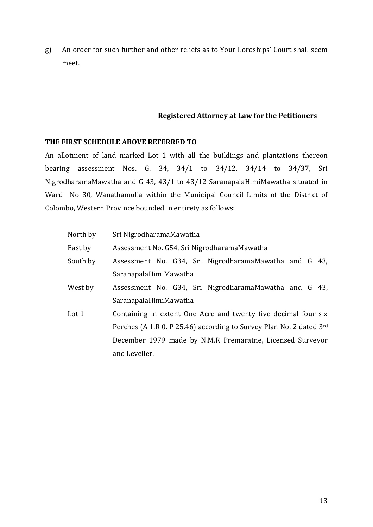g) An order for such further and other reliefs as to Your Lordships' Court shall seem meet.

## **Registered Attorney at Law for the Petitioners**

### **THE FIRST SCHEDULE ABOVE REFERRED TO**

An allotment of land marked Lot 1 with all the buildings and plantations thereon bearing assessment Nos. G. 34, 34/1 to 34/12, 34/14 to 34/37, Sri NigrodharamaMawatha and G 43, 43/1 to 43/12 SaranapalaHimiMawatha situated in Ward No 30, Wanathamulla within the Municipal Council Limits of the District of Colombo, Western Province bounded in entirety as follows:

| North by | Sri NigrodharamaMawatha                                             |
|----------|---------------------------------------------------------------------|
| East by  | Assessment No. G54, Sri NigrodharamaMawatha                         |
| South by | Assessment No. G34, Sri NigrodharamaMawatha and G 43,               |
|          | SaranapalaHimiMawatha                                               |
| West by  | Assessment No. G34, Sri NigrodharamaMawatha and G 43,               |
|          | SaranapalaHimiMawatha                                               |
| Lot 1    | Containing in extent One Acre and twenty five decimal four six      |
|          | Perches (A 1.R 0. P 25.46) according to Survey Plan No. 2 dated 3rd |
|          | December 1979 made by N.M.R Premaratne, Licensed Surveyor           |
|          | and Leveller.                                                       |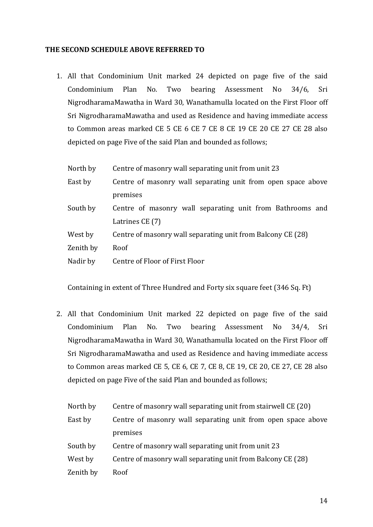#### **THE SECOND SCHEDULE ABOVE REFERRED TO**

1. All that Condominium Unit marked 24 depicted on page five of the said Condominium Plan No. Two bearing Assessment No 34/6, Sri NigrodharamaMawatha in Ward 30, Wanathamulla located on the First Floor off Sri NigrodharamaMawatha and used as Residence and having immediate access to Common areas marked CE 5 CE 6 CE 7 CE 8 CE 19 CE 20 CE 27 CE 28 also depicted on page Five of the said Plan and bounded as follows;

| North by | Centre of masonry wall separating unit from unit 23 |
|----------|-----------------------------------------------------|
|          |                                                     |

| East by  | Centre of masonry wall separating unit from open space above |
|----------|--------------------------------------------------------------|
|          | premises                                                     |
| South by | Centre of masonry wall separating unit from Bathrooms and    |

Latrines CE (7)

West by Centre of masonry wall separating unit from Balcony CE (28)

Zenith by Roof

Nadir by Centre of Floor of First Floor

Containing in extent of Three Hundred and Forty six square feet (346 Sq. Ft)

2. All that Condominium Unit marked 22 depicted on page five of the said Condominium Plan No. Two bearing Assessment No 34/4, Sri NigrodharamaMawatha in Ward 30, Wanathamulla located on the First Floor off Sri NigrodharamaMawatha and used as Residence and having immediate access to Common areas marked CE 5, CE 6, CE 7, CE 8, CE 19, CE 20, CE 27, CE 28 also depicted on page Five of the said Plan and bounded as follows;

| North by  | Centre of masonry wall separating unit from stairwell CE (20) |
|-----------|---------------------------------------------------------------|
| East by   | Centre of masonry wall separating unit from open space above  |
|           | premises                                                      |
| South by  | Centre of masonry wall separating unit from unit 23           |
| West by   | Centre of masonry wall separating unit from Balcony CE (28)   |
| Zenith by | Roof                                                          |

14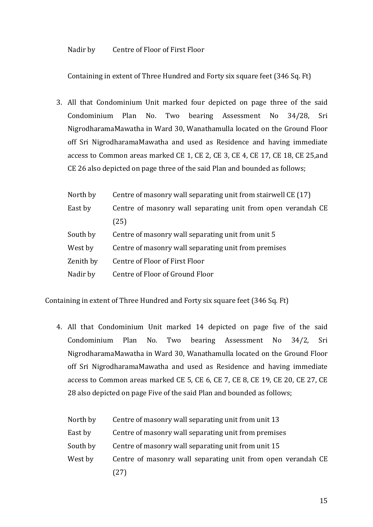Nadir by Centre of Floor of First Floor

Containing in extent of Three Hundred and Forty six square feet (346 Sq. Ft)

3. All that Condominium Unit marked four depicted on page three of the said Condominium Plan No. Two bearing Assessment No 34/28, Sri NigrodharamaMawatha in Ward 30, Wanathamulla located on the Ground Floor off Sri NigrodharamaMawatha and used as Residence and having immediate access to Common areas marked CE 1, CE 2, CE 3, CE 4, CE 17, CE 18, CE 25,and CE 26 also depicted on page three of the said Plan and bounded as follows;

| North by  | Centre of masonry wall separating unit from stairwell CE (17) |
|-----------|---------------------------------------------------------------|
| East by   | Centre of masonry wall separating unit from open verandah CE  |
|           | (25)                                                          |
| South by  | Centre of masonry wall separating unit from unit 5            |
| West by   | Centre of masonry wall separating unit from premises          |
| Zenith by | Centre of Floor of First Floor                                |
| Nadir by  | Centre of Floor of Ground Floor                               |

Containing in extent of Three Hundred and Forty six square feet (346 Sq. Ft)

4. All that Condominium Unit marked 14 depicted on page five of the said Condominium Plan No. Two bearing Assessment No 34/2, Sri NigrodharamaMawatha in Ward 30, Wanathamulla located on the Ground Floor off Sri NigrodharamaMawatha and used as Residence and having immediate access to Common areas marked CE 5, CE 6, CE 7, CE 8, CE 19, CE 20, CE 27, CE 28 also depicted on page Five of the said Plan and bounded as follows;

| North by | Centre of masonry wall separating unit from unit 13          |
|----------|--------------------------------------------------------------|
| East by  | Centre of masonry wall separating unit from premises         |
| South by | Centre of masonry wall separating unit from unit 15          |
| West by  | Centre of masonry wall separating unit from open verandah CE |
|          | (27)                                                         |